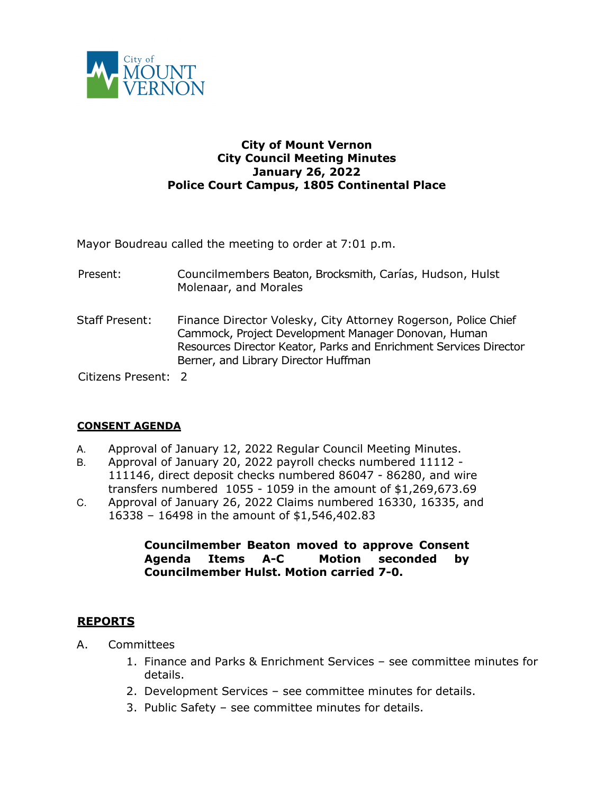

## **City of Mount Vernon City Council Meeting Minutes January 26, 2022 Police Court Campus, 1805 Continental Place**

Mayor Boudreau called the meeting to order at 7:01 p.m.

- Present: Councilmembers Beaton, Brocksmith, Carías, Hudson, Hulst Molenaar, and Morales
- Staff Present: Finance Director Volesky, City Attorney Rogerson, Police Chief Cammock, Project Development Manager Donovan, Human Resources Director Keator, Parks and Enrichment Services Director Berner, and Library Director Huffman

Citizens Present: 2

### **CONSENT AGENDA**

- A. Approval of January 12, 2022 Regular Council Meeting Minutes.
- B. Approval of January 20, 2022 payroll checks numbered 11112 111146, direct deposit checks numbered 86047 - 86280, and wire transfers numbered 1055 - 1059 in the amount of \$1,269,673.69
- C. Approval of January 26, 2022 Claims numbered 16330, 16335, and 16338 – 16498 in the amount of \$1,546,402.83

## **Councilmember Beaton moved to approve Consent Agenda Items A-C Motion seconded by Councilmember Hulst. Motion carried 7-0.**

### **REPORTS**

- A. Committees
	- 1. Finance and Parks & Enrichment Services see committee minutes for details.
	- 2. Development Services see committee minutes for details.
	- 3. Public Safety see committee minutes for details.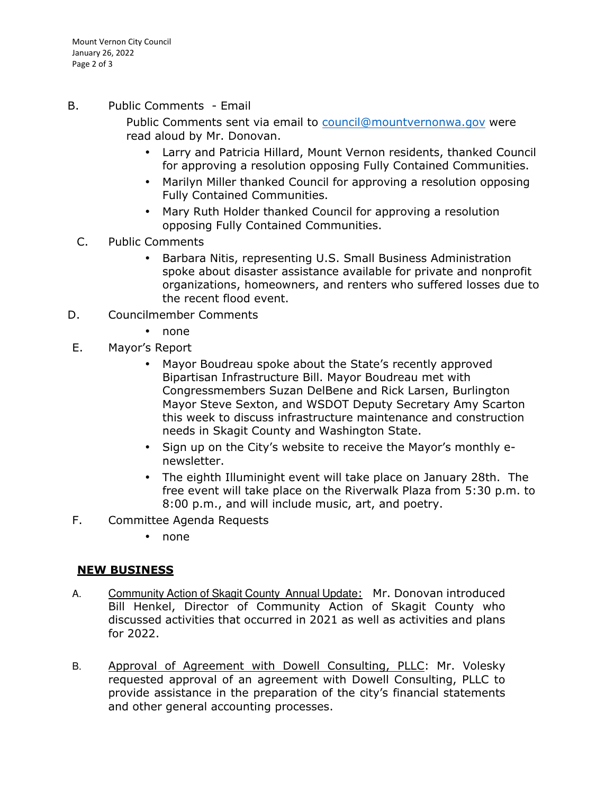Mount Vernon City Council January 26, 2022 Page 2 of 3

B. Public Comments - Email

Public Comments sent via email to council@mountvernonwa.gov were read aloud by Mr. Donovan.

- Larry and Patricia Hillard, Mount Vernon residents, thanked Council for approving a resolution opposing Fully Contained Communities.
- Marilyn Miller thanked Council for approving a resolution opposing Fully Contained Communities.
- Mary Ruth Holder thanked Council for approving a resolution opposing Fully Contained Communities.
- C. Public Comments
	- Barbara Nitis, representing U.S. Small Business Administration spoke about disaster assistance available for private and nonprofit organizations, homeowners, and renters who suffered losses due to the recent flood event.
- D. Councilmember Comments
	- none
- E. Mayor's Report
	- Mayor Boudreau spoke about the State's recently approved Bipartisan Infrastructure Bill. Mayor Boudreau met with Congressmembers Suzan DelBene and Rick Larsen, Burlington Mayor Steve Sexton, and WSDOT Deputy Secretary Amy Scarton this week to discuss infrastructure maintenance and construction needs in Skagit County and Washington State.
	- Sign up on the City's website to receive the Mayor's monthly enewsletter.
	- The eighth Illuminight event will take place on January 28th. The free event will take place on the Riverwalk Plaza from 5:30 p.m. to 8:00 p.m., and will include music, art, and poetry.
- F. Committee Agenda Requests
	- none

# **NEW BUSINESS**

- A. Community Action of Skagit County Annual Update: Mr. Donovan introduced Bill Henkel, Director of Community Action of Skagit County who discussed activities that occurred in 2021 as well as activities and plans for 2022.
- B. Approval of Agreement with Dowell Consulting, PLLC: Mr. Volesky requested approval of an agreement with Dowell Consulting, PLLC to provide assistance in the preparation of the city's financial statements and other general accounting processes.